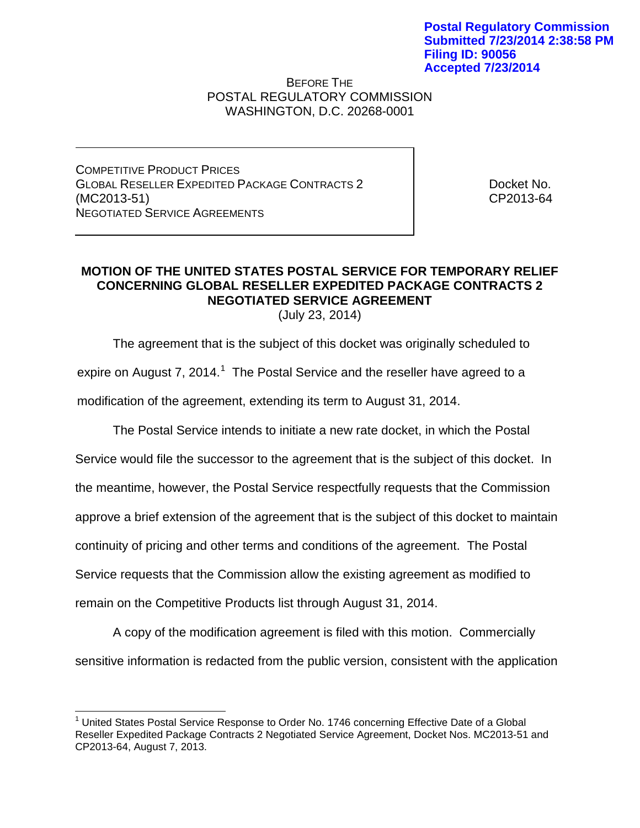## BEFORE THE POSTAL REGULATORY COMMISSION WASHINGTON, D.C. 20268-0001

COMPETITIVE PRODUCT PRICES GLOBAL RESELLER EXPEDITED PACKAGE CONTRACTS 2 (MC2013-51) NEGOTIATED SERVICE AGREEMENTS

Docket No. CP2013-64

## **MOTION OF THE UNITED STATES POSTAL SERVICE FOR TEMPORARY RELIEF CONCERNING GLOBAL RESELLER EXPEDITED PACKAGE CONTRACTS 2 NEGOTIATED SERVICE AGREEMENT** (July 23, 2014)

The agreement that is the subject of this docket was originally scheduled to

expire on August 7, 20[1](#page-0-0)4.<sup>1</sup> The Postal Service and the reseller have agreed to a modification of the agreement, extending its term to August 31, 2014.

The Postal Service intends to initiate a new rate docket, in which the Postal

Service would file the successor to the agreement that is the subject of this docket. In

the meantime, however, the Postal Service respectfully requests that the Commission

approve a brief extension of the agreement that is the subject of this docket to maintain

continuity of pricing and other terms and conditions of the agreement. The Postal

Service requests that the Commission allow the existing agreement as modified to

remain on the Competitive Products list through August 31, 2014.

A copy of the modification agreement is filed with this motion. Commercially sensitive information is redacted from the public version, consistent with the application

<span id="page-0-0"></span> $<sup>1</sup>$  United States Postal Service Response to Order No. 1746 concerning Effective Date of a Global</sup> Reseller Expedited Package Contracts 2 Negotiated Service Agreement, Docket Nos. MC2013-51 and CP2013-64, August 7, 2013.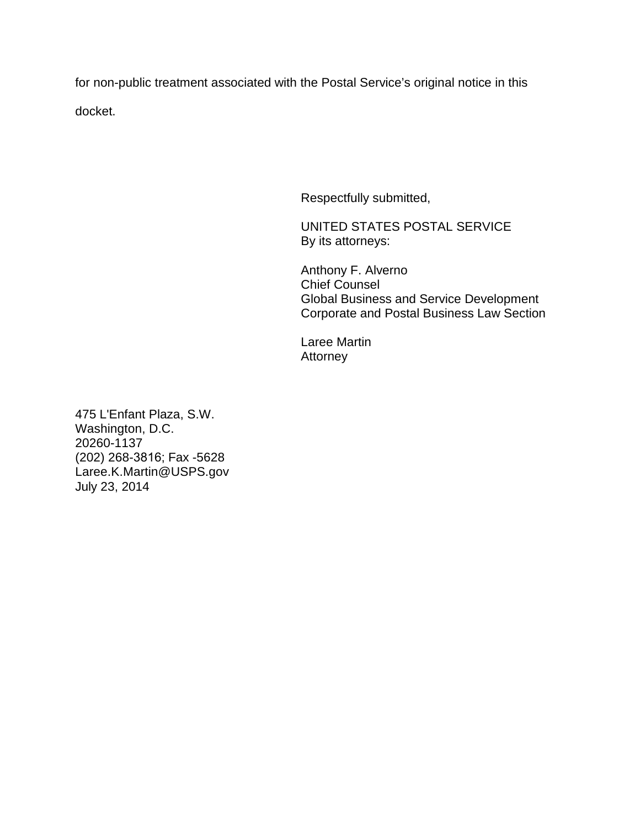for non-public treatment associated with the Postal Service's original notice in this docket.

Respectfully submitted,

UNITED STATES POSTAL SERVICE By its attorneys:

Anthony F. Alverno Chief Counsel Global Business and Service Development Corporate and Postal Business Law Section

Laree Martin Attorney

475 L'Enfant Plaza, S.W. Washington, D.C. 20260-1137 (202) 268-3816; Fax -5628 Laree.K.Martin@USPS.gov July 23, 2014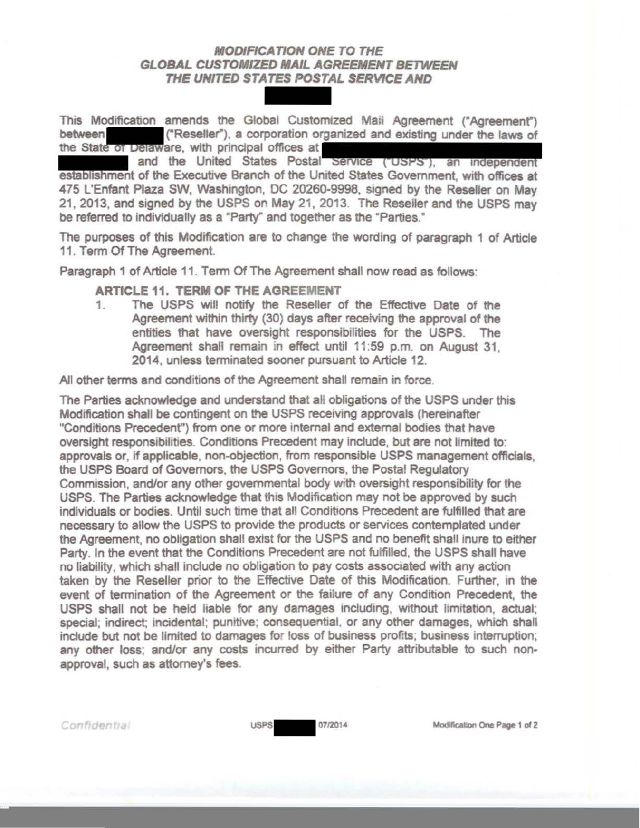## **MODIFICATION ONE TO THE** GLOBAL CUSTOMIZED MAIL AGREEMENT BETWEEN THE UNITED STATES POSTAL SERVICE AND

This Modification amends the Global Customized Mail Agreement ("Agreement") THE UNITED STATES POSTAL SERVICE AND<br>This Modification amends the Global Customized Mail Agreement ("Agreement")<br>between ("Reseller"), a corporation organized and existing under the laws of<br>the State of Delaware, with prin the State of Delaware, with principal offices at

and the United States Postal Service ("USPS"), an independent establishment of the Executive Branch of the United States Government, with offices at 475 L'Enfant Plaza SW, Washington, DC 20260-9998, signed by the Reseller on May 21, 2013, and signed by the USPS on May 21 , 2013. The Reseller and the USPS may be referred to individually as a "Party" and together as the "Parties."

The purposes of this Modification are to change the wording of paragraph 1 of Article 11. Term Of The Agreement.

Paragraph 1 of Article 11. Term Of The Agreement shall now read as follows:

ARTICLE 11. TERM OF THE AGREEMENT

1. The USPS will notify the Reseller of the Effective Date of the Agreement within thirty (30) days after receiving the approval of the entities that have oversight responsibilities for the USPS. The Agreement shall remain in effect until 11:59 p.m. on August 31. 2014, unless terminated sooner pursuant to Article 12.

All other terms and conditions of the Agreement shall remain in force.

The Parties acknowledge and understand that all obligations of the USPS under this Modification shall be contingent on the USPS receiving approvals (hereinafter "Conditions Precedent") from one or more internal and external bodies that have oversight responsibilities. Conditions Precedent may include, but are not limited to· approvals or, if applicable, non-objection, from responsible USPS management officials. the USPS Board of Governors, the USPS Governors, the Postal Regulatory Commission, and/or any other governmental body with oversight responsibility for the USPS. The Parties acknowledge that this Modification may not be approved by such individuals or bodies. Until such time that all Conditions Precedent are fulfilled that are necessary to allow the USPS to provide the products or services contemplated under the Agreement, no obligation shall exist for the USPS and no benefit shall inure to either Party. In the event that the Conditions Precedent are not fulfilled, the USPS shall have no liability, which shall include no obligation to pay costs associated with any action taken by the Reseller prior to the Effective Date of this Modification. Further, in the event of termination of the Agreement or the failure of any Condition Precedent, the USPS shall not be held liable for any damages including, without limitation, actual; special; indirect; incidental; punitive; consequential, or any other damages, which shall indude but not be limited to damages for loss of business profits; business interruption; any other loss; and/or any costs incurred by either Party attributable to such non· approval, such as attorney's fees.

Confidential

USPS 07/2014 Modification One Page 1 of 2